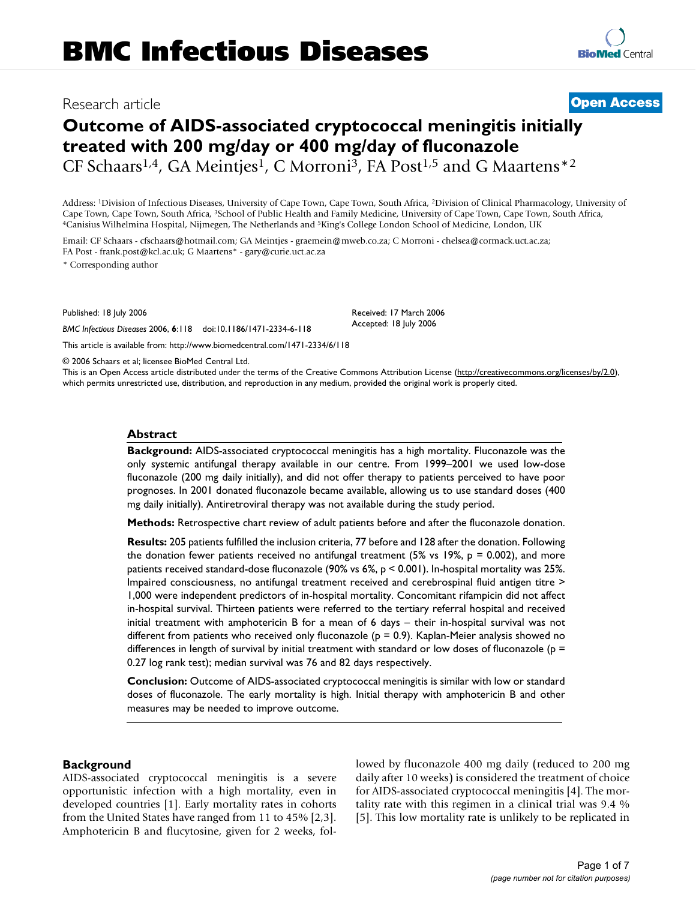## Research article **[Open Access](http://www.biomedcentral.com/info/about/charter/)**

# **Outcome of AIDS-associated cryptococcal meningitis initially treated with 200 mg/day or 400 mg/day of fluconazole**

CF Schaars<sup>1,4</sup>, GA Meintjes<sup>1</sup>, C Morroni<sup>3</sup>, FA Post<sup>1,5</sup> and G Maartens<sup>\*2</sup>

Address: 1Division of Infectious Diseases, University of Cape Town, Cape Town, South Africa, 2Division of Clinical Pharmacology, University of Cape Town, Cape Town, South Africa, <sup>3</sup>School of Public Health and Family Medicine, University of Cape Town, Cape Town, South Africa, <sup>4</sup>Canisius Wilhelmina Hospital, Nijmegen, The Netherlands and <sup>5</sup>King's College London

Email: CF Schaars - cfschaars@hotmail.com; GA Meintjes - graemein@mweb.co.za; C Morroni - chelsea@cormack.uct.ac.za; FA Post - frank.post@kcl.ac.uk; G Maartens\* - gary@curie.uct.ac.za

\* Corresponding author

Published: 18 July 2006

*BMC Infectious Diseases* 2006, **6**:118 doi:10.1186/1471-2334-6-118 [This article is available from: http://www.biomedcentral.com/1471-2334/6/118](http://www.biomedcentral.com/1471-2334/6/118)

Received: 17 March 2006 Accepted: 18 July 2006

© 2006 Schaars et al; licensee BioMed Central Ltd.

This is an Open Access article distributed under the terms of the Creative Commons Attribution License [\(http://creativecommons.org/licenses/by/2.0\)](http://creativecommons.org/licenses/by/2.0), which permits unrestricted use, distribution, and reproduction in any medium, provided the original work is properly cited.

#### **Abstract**

**Background:** AIDS-associated cryptococcal meningitis has a high mortality. Fluconazole was the only systemic antifungal therapy available in our centre. From 1999–2001 we used low-dose fluconazole (200 mg daily initially), and did not offer therapy to patients perceived to have poor prognoses. In 2001 donated fluconazole became available, allowing us to use standard doses (400 mg daily initially). Antiretroviral therapy was not available during the study period.

**Methods:** Retrospective chart review of adult patients before and after the fluconazole donation.

**Results:** 205 patients fulfilled the inclusion criteria, 77 before and 128 after the donation. Following the donation fewer patients received no antifungal treatment (5% vs 19%,  $p = 0.002$ ), and more patients received standard-dose fluconazole (90% vs 6%, p < 0.001). In-hospital mortality was 25%. Impaired consciousness, no antifungal treatment received and cerebrospinal fluid antigen titre > 1,000 were independent predictors of in-hospital mortality. Concomitant rifampicin did not affect in-hospital survival. Thirteen patients were referred to the tertiary referral hospital and received initial treatment with amphotericin B for a mean of 6 days – their in-hospital survival was not different from patients who received only fluconazole ( $p = 0.9$ ). Kaplan-Meier analysis showed no differences in length of survival by initial treatment with standard or low doses of fluconazole ( $p =$ 0.27 log rank test); median survival was 76 and 82 days respectively.

**Conclusion:** Outcome of AIDS-associated cryptococcal meningitis is similar with low or standard doses of fluconazole. The early mortality is high. Initial therapy with amphotericin B and other measures may be needed to improve outcome.

#### **Background**

AIDS-associated cryptococcal meningitis is a severe opportunistic infection with a high mortality, even in developed countries [1]. Early mortality rates in cohorts from the United States have ranged from 11 to 45% [2,3]. Amphotericin B and flucytosine, given for 2 weeks, followed by fluconazole 400 mg daily (reduced to 200 mg daily after 10 weeks) is considered the treatment of choice for AIDS-associated cryptococcal meningitis [4]. The mortality rate with this regimen in a clinical trial was 9.4 % [5]. This low mortality rate is unlikely to be replicated in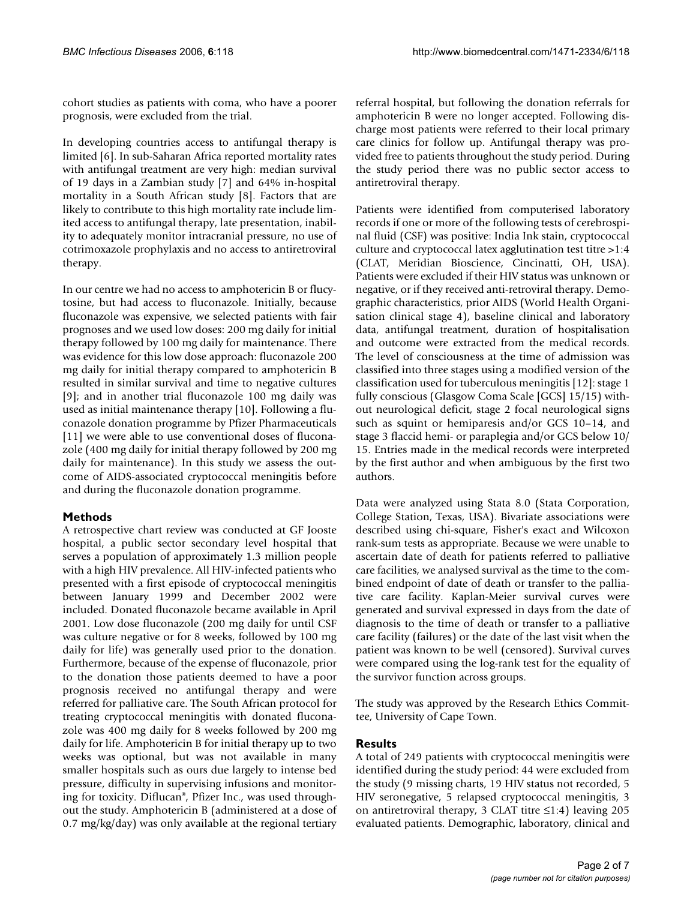cohort studies as patients with coma, who have a poorer prognosis, were excluded from the trial.

In developing countries access to antifungal therapy is limited [6]. In sub-Saharan Africa reported mortality rates with antifungal treatment are very high: median survival of 19 days in a Zambian study [7] and 64% in-hospital mortality in a South African study [8]. Factors that are likely to contribute to this high mortality rate include limited access to antifungal therapy, late presentation, inability to adequately monitor intracranial pressure, no use of cotrimoxazole prophylaxis and no access to antiretroviral therapy.

In our centre we had no access to amphotericin B or flucytosine, but had access to fluconazole. Initially, because fluconazole was expensive, we selected patients with fair prognoses and we used low doses: 200 mg daily for initial therapy followed by 100 mg daily for maintenance. There was evidence for this low dose approach: fluconazole 200 mg daily for initial therapy compared to amphotericin B resulted in similar survival and time to negative cultures [9]; and in another trial fluconazole 100 mg daily was used as initial maintenance therapy [10]. Following a fluconazole donation programme by Pfizer Pharmaceuticals [11] we were able to use conventional doses of fluconazole (400 mg daily for initial therapy followed by 200 mg daily for maintenance). In this study we assess the outcome of AIDS-associated cryptococcal meningitis before and during the fluconazole donation programme.

### **Methods**

A retrospective chart review was conducted at GF Jooste hospital, a public sector secondary level hospital that serves a population of approximately 1.3 million people with a high HIV prevalence. All HIV-infected patients who presented with a first episode of cryptococcal meningitis between January 1999 and December 2002 were included. Donated fluconazole became available in April 2001. Low dose fluconazole (200 mg daily for until CSF was culture negative or for 8 weeks, followed by 100 mg daily for life) was generally used prior to the donation. Furthermore, because of the expense of fluconazole, prior to the donation those patients deemed to have a poor prognosis received no antifungal therapy and were referred for palliative care. The South African protocol for treating cryptococcal meningitis with donated fluconazole was 400 mg daily for 8 weeks followed by 200 mg daily for life. Amphotericin B for initial therapy up to two weeks was optional, but was not available in many smaller hospitals such as ours due largely to intense bed pressure, difficulty in supervising infusions and monitoring for toxicity. Diflucan®, Pfizer Inc., was used throughout the study. Amphotericin B (administered at a dose of 0.7 mg/kg/day) was only available at the regional tertiary referral hospital, but following the donation referrals for amphotericin B were no longer accepted. Following discharge most patients were referred to their local primary care clinics for follow up. Antifungal therapy was provided free to patients throughout the study period. During the study period there was no public sector access to antiretroviral therapy.

Patients were identified from computerised laboratory records if one or more of the following tests of cerebrospinal fluid (CSF) was positive: India Ink stain, cryptococcal culture and cryptococcal latex agglutination test titre >1:4 (CLAT, Meridian Bioscience, Cincinatti, OH, USA). Patients were excluded if their HIV status was unknown or negative, or if they received anti-retroviral therapy. Demographic characteristics, prior AIDS (World Health Organisation clinical stage 4), baseline clinical and laboratory data, antifungal treatment, duration of hospitalisation and outcome were extracted from the medical records. The level of consciousness at the time of admission was classified into three stages using a modified version of the classification used for tuberculous meningitis [12]: stage 1 fully conscious (Glasgow Coma Scale [GCS] 15/15) without neurological deficit, stage 2 focal neurological signs such as squint or hemiparesis and/or GCS 10–14, and stage 3 flaccid hemi- or paraplegia and/or GCS below 10/ 15. Entries made in the medical records were interpreted by the first author and when ambiguous by the first two authors.

Data were analyzed using Stata 8.0 (Stata Corporation, College Station, Texas, USA). Bivariate associations were described using chi-square, Fisher's exact and Wilcoxon rank-sum tests as appropriate. Because we were unable to ascertain date of death for patients referred to palliative care facilities, we analysed survival as the time to the combined endpoint of date of death or transfer to the palliative care facility. Kaplan-Meier survival curves were generated and survival expressed in days from the date of diagnosis to the time of death or transfer to a palliative care facility (failures) or the date of the last visit when the patient was known to be well (censored). Survival curves were compared using the log-rank test for the equality of the survivor function across groups.

The study was approved by the Research Ethics Committee, University of Cape Town.

### **Results**

A total of 249 patients with cryptococcal meningitis were identified during the study period: 44 were excluded from the study (9 missing charts, 19 HIV status not recorded, 5 HIV seronegative, 5 relapsed cryptococcal meningitis, 3 on antiretroviral therapy, 3 CLAT titre ≤1:4) leaving 205 evaluated patients. Demographic, laboratory, clinical and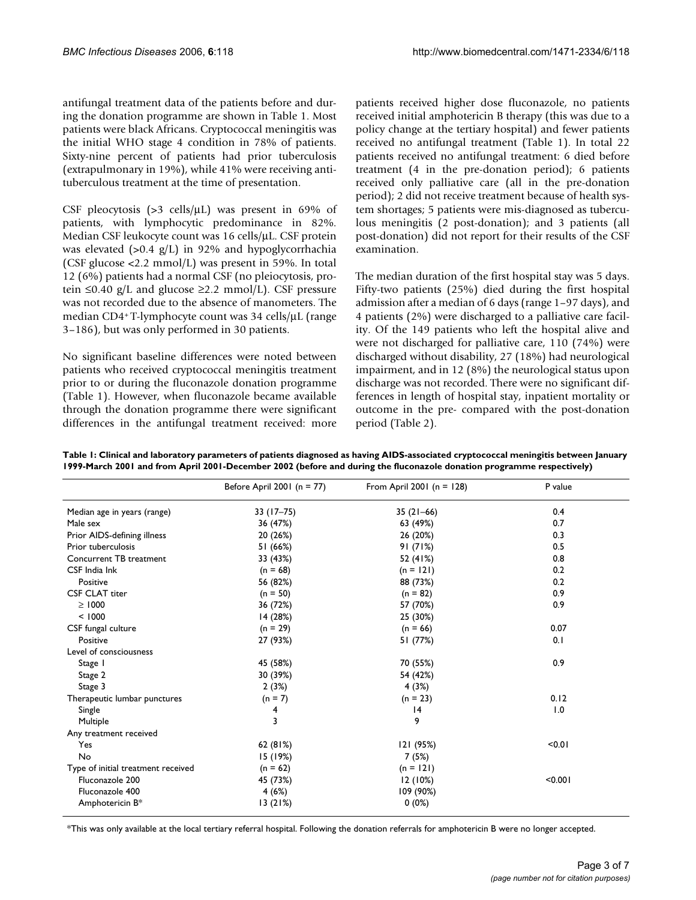antifungal treatment data of the patients before and during the donation programme are shown in Table 1. Most patients were black Africans. Cryptococcal meningitis was the initial WHO stage 4 condition in 78% of patients. Sixty-nine percent of patients had prior tuberculosis (extrapulmonary in 19%), while 41% were receiving antituberculous treatment at the time of presentation.

CSF pleocytosis (>3 cells/μL) was present in 69% of patients, with lymphocytic predominance in 82%. Median CSF leukocyte count was 16 cells/μL. CSF protein was elevated (>0.4 g/L) in 92% and hypoglycorrhachia (CSF glucose <2.2 mmol/L) was present in 59%. In total 12 (6%) patients had a normal CSF (no pleiocytosis, protein  $\leq 0.40$  g/L and glucose  $\geq 2.2$  mmol/L). CSF pressure was not recorded due to the absence of manometers. The median CD4+ T-lymphocyte count was 34 cells/μL (range 3–186), but was only performed in 30 patients.

No significant baseline differences were noted between patients who received cryptococcal meningitis treatment prior to or during the fluconazole donation programme (Table 1). However, when fluconazole became available through the donation programme there were significant differences in the antifungal treatment received: more patients received higher dose fluconazole, no patients received initial amphotericin B therapy (this was due to a policy change at the tertiary hospital) and fewer patients received no antifungal treatment (Table 1). In total 22 patients received no antifungal treatment: 6 died before treatment (4 in the pre-donation period); 6 patients received only palliative care (all in the pre-donation period); 2 did not receive treatment because of health system shortages; 5 patients were mis-diagnosed as tuberculous meningitis (2 post-donation); and 3 patients (all post-donation) did not report for their results of the CSF examination.

The median duration of the first hospital stay was 5 days. Fifty-two patients (25%) died during the first hospital admission after a median of 6 days (range 1–97 days), and 4 patients (2%) were discharged to a palliative care facility. Of the 149 patients who left the hospital alive and were not discharged for palliative care, 110 (74%) were discharged without disability, 27 (18%) had neurological impairment, and in 12 (8%) the neurological status upon discharge was not recorded. There were no significant differences in length of hospital stay, inpatient mortality or outcome in the pre- compared with the post-donation period (Table 2).

**Table 1: Clinical and laboratory parameters of patients diagnosed as having AIDS-associated cryptococcal meningitis between January 1999-March 2001 and from April 2001-December 2002 (before and during the fluconazole donation programme respectively)**

|                                    | Before April 2001 ( $n = 77$ ) | From April 2001 ( $n = 128$ ) | P value |
|------------------------------------|--------------------------------|-------------------------------|---------|
| Median age in years (range)        | $33(17-75)$                    | $35(21-66)$                   | 0.4     |
| Male sex                           | 36 (47%)                       | 63 (49%)                      | 0.7     |
| Prior AIDS-defining illness        | 20 (26%)                       | 26 (20%)                      | 0.3     |
| Prior tuberculosis                 | 51 (66%)                       | 91(71%)                       | 0.5     |
| Concurrent TB treatment            | 33 (43%)                       | 52 (41%)                      | 0.8     |
| CSF India Ink                      | $(n = 68)$                     | $(n = 121)$                   | 0.2     |
| Positive                           | 56 (82%)                       | 88 (73%)                      | 0.2     |
| <b>CSF CLAT titer</b>              | $(n = 50)$                     | $(n = 82)$                    | 0.9     |
| $\geq 1000$                        | 36 (72%)                       | 57 (70%)                      | 0.9     |
| < 1000                             | 14(28%)                        | 25 (30%)                      |         |
| CSF fungal culture                 | $(n = 29)$                     | $(n = 66)$                    | 0.07    |
| Positive                           | 27 (93%)                       | 51 (77%)                      | 0.1     |
| Level of consciousness             |                                |                               |         |
| Stage I                            | 45 (58%)                       | 70 (55%)                      | 0.9     |
| Stage 2                            | 30 (39%)                       | 54 (42%)                      |         |
| Stage 3                            | 2(3%)                          | 4(3%)                         |         |
| Therapeutic lumbar punctures       | $(n = 7)$                      | $(n = 23)$                    | 0.12    |
| Single                             | 4                              | 4                             | 1.0     |
| Multiple                           | 3                              | 9                             |         |
| Any treatment received             |                                |                               |         |
| Yes                                | 62(81%)                        | 121 (95%)                     | < 0.01  |
| No                                 | 15 (19%)                       | 7 (5%)                        |         |
| Type of initial treatment received | $(n = 62)$                     | $(n = 121)$                   |         |
| Fluconazole 200                    | 45 (73%)                       | 12(10%)                       | < 0.001 |
| Fluconazole 400                    | 4(6%)                          | 109 (90%)                     |         |
| Amphotericin B*                    | 13(21%)                        | 0(0%)                         |         |

\*This was only available at the local tertiary referral hospital. Following the donation referrals for amphotericin B were no longer accepted.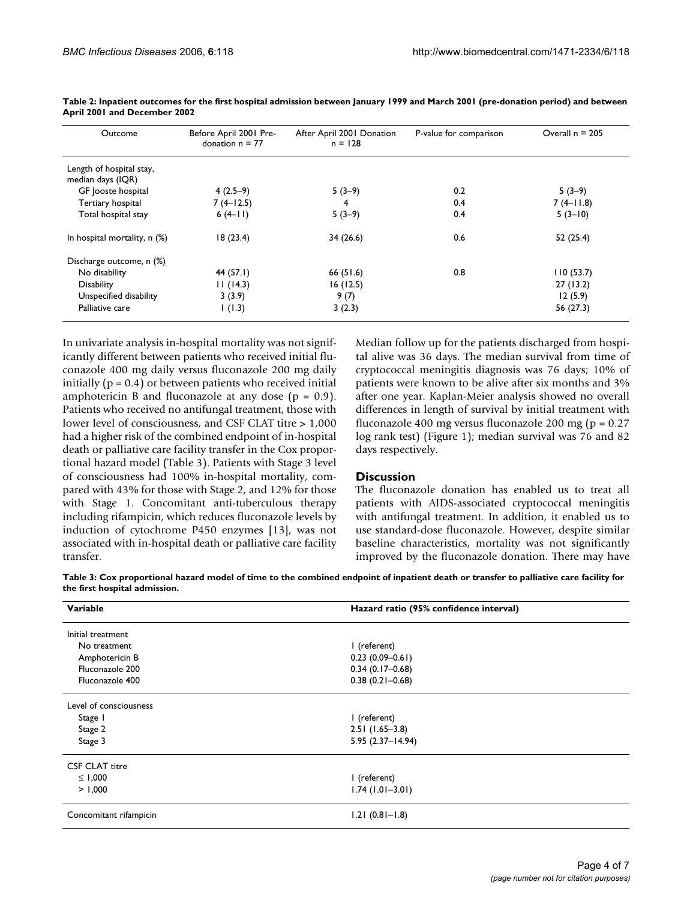| Outcome                                       | Before April 2001 Pre-<br>donation $n = 77$ | After April 2001 Donation<br>$n = 128$ | P-value for comparison | Overall $n = 205$ |
|-----------------------------------------------|---------------------------------------------|----------------------------------------|------------------------|-------------------|
| Length of hospital stay,<br>median days (IQR) |                                             |                                        |                        |                   |
| GF Jooste hospital                            | $4(2.5-9)$                                  | $5(3-9)$                               | 0.2                    | $5(3-9)$          |
| Tertiary hospital                             | $7(4-12.5)$                                 | 4                                      | 0.4                    | $7(4-11.8)$       |
| Total hospital stay                           | $6(4-11)$                                   | $5(3-9)$                               | 0.4                    | $5(3-10)$         |
| In hospital mortality, n (%)                  | 18(23.4)                                    | 34(26.6)                               | 0.6                    | 52(25.4)          |
| Discharge outcome, n (%)                      |                                             |                                        |                        |                   |
| No disability                                 | 44 (57.1)                                   | 66(51.6)                               | 0.8                    | 110(53.7)         |
| <b>Disability</b>                             | 11(14.3)                                    | 16(12.5)                               |                        | 27(13.2)          |
| Unspecified disability                        | 3(3.9)                                      | 9(7)                                   |                        | 12(5.9)           |
| Palliative care                               | (1.3)                                       | 3(2.3)                                 |                        | 56 (27.3)         |

**Table 2: Inpatient outcomes for the first hospital admission between January 1999 and March 2001 (pre-donation period) and between April 2001 and December 2002**

In univariate analysis in-hospital mortality was not significantly different between patients who received initial fluconazole 400 mg daily versus fluconazole 200 mg daily initially ( $p = 0.4$ ) or between patients who received initial amphotericin B and fluconazole at any dose  $(p = 0.9)$ . Patients who received no antifungal treatment, those with lower level of consciousness, and CSF CLAT titre > 1,000 had a higher risk of the combined endpoint of in-hospital death or palliative care facility transfer in the Cox proportional hazard model (Table 3). Patients with Stage 3 level of consciousness had 100% in-hospital mortality, compared with 43% for those with Stage 2, and 12% for those with Stage 1. Concomitant anti-tuberculous therapy including rifampicin, which reduces fluconazole levels by induction of cytochrome P450 enzymes [13], was not associated with in-hospital death or palliative care facility transfer.

Median follow up for the patients discharged from hospital alive was 36 days. The median survival from time of cryptococcal meningitis diagnosis was 76 days; 10% of patients were known to be alive after six months and 3% after one year. Kaplan-Meier analysis showed no overall differences in length of survival by initial treatment with fluconazole 400 mg versus fluconazole 200 mg (p = 0.27 log rank test) (Figure 1); median survival was 76 and 82 days respectively.

### **Discussion**

The fluconazole donation has enabled us to treat all patients with AIDS-associated cryptococcal meningitis with antifungal treatment. In addition, it enabled us to use standard-dose fluconazole. However, despite similar baseline characteristics, mortality was not significantly improved by the fluconazole donation. There may have

**Table 3: Cox proportional hazard model of time to the combined endpoint of inpatient death or transfer to palliative care facility for the first hospital admission.**

| Variable               | Hazard ratio (95% confidence interval) |  |
|------------------------|----------------------------------------|--|
| Initial treatment      |                                        |  |
| No treatment           | I (referent)                           |  |
| Amphotericin B         | $0.23(0.09 - 0.61)$                    |  |
| Fluconazole 200        | $0.34(0.17-0.68)$                      |  |
| Fluconazole 400        | $0.38(0.21 - 0.68)$                    |  |
| Level of consciousness |                                        |  |
| Stage 1                | I (referent)                           |  |
| Stage 2                | $2.51(1.65-3.8)$                       |  |
| Stage 3                | $5.95(2.37 - 14.94)$                   |  |
| <b>CSF CLAT titre</b>  |                                        |  |
| ≤ 1,000                | I (referent)                           |  |
| > 1,000                | $1.74(1.01 - 3.01)$                    |  |
| Concomitant rifampicin | $1.21(0.81 - 1.8)$                     |  |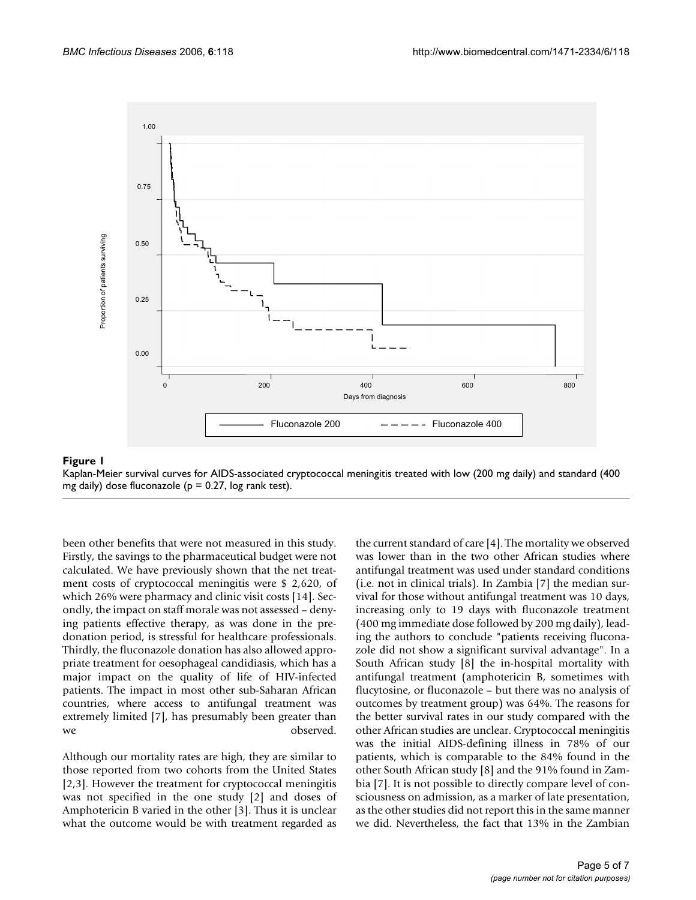

## Kaplan-Meier survival curves for AIDS-associated cryptococcal mg daily) dose fluconazole (p = 0.27, log rank test) **Figure 1** meningitis treated with low (200 mg daily) and standard (400

Kaplan-Meier survival curves for AIDS-associated cryptococcal meningitis treated with low (200 mg daily) and standard (400

been other benefits that were not measured in this study. Firstly, the savings to the pharmaceutical budget were not calculated. We have previously shown that the net treatment costs of cryptococcal meningitis were \$ 2,620, of which 26% were pharmacy and clinic visit costs [14]. Secondly, the impact on staff morale was not assessed – denying patients effective therapy, as was done in the predonation period, is stressful for healthcare professionals. Thirdly, the fluconazole donation has also allowed appropriate treatment for oesophageal candidiasis, which has a major impact on the quality of life of HIV-infected patients. The impact in most other sub-Saharan African countries, where access to antifungal treatment was extremely limited [7], has presumably been greater than we observed.

Although our mortality rates are high, they are similar to those reported from two cohorts from the United States [2,3]. However the treatment for cryptococcal meningitis was not specified in the one study [2] and doses of Amphotericin B varied in the other [3]. Thus it is unclear what the outcome would be with treatment regarded as

the current standard of care [4]. The mortality we observed was lower than in the two other African studies where antifungal treatment was used under standard conditions (i.e. not in clinical trials). In Zambia [7] the median survival for those without antifungal treatment was 10 days, increasing only to 19 days with fluconazole treatment (400 mg immediate dose followed by 200 mg daily), leading the authors to conclude "patients receiving fluconazole did not show a significant survival advantage". In a South African study [8] the in-hospital mortality with antifungal treatment (amphotericin B, sometimes with flucytosine, or fluconazole – but there was no analysis of outcomes by treatment group) was 64%. The reasons for the better survival rates in our study compared with the other African studies are unclear. Cryptococcal meningitis was the initial AIDS-defining illness in 78% of our patients, which is comparable to the 84% found in the other South African study [8] and the 91% found in Zambia [7]. It is not possible to directly compare level of consciousness on admission, as a marker of late presentation, as the other studies did not report this in the same manner we did. Nevertheless, the fact that 13% in the Zambian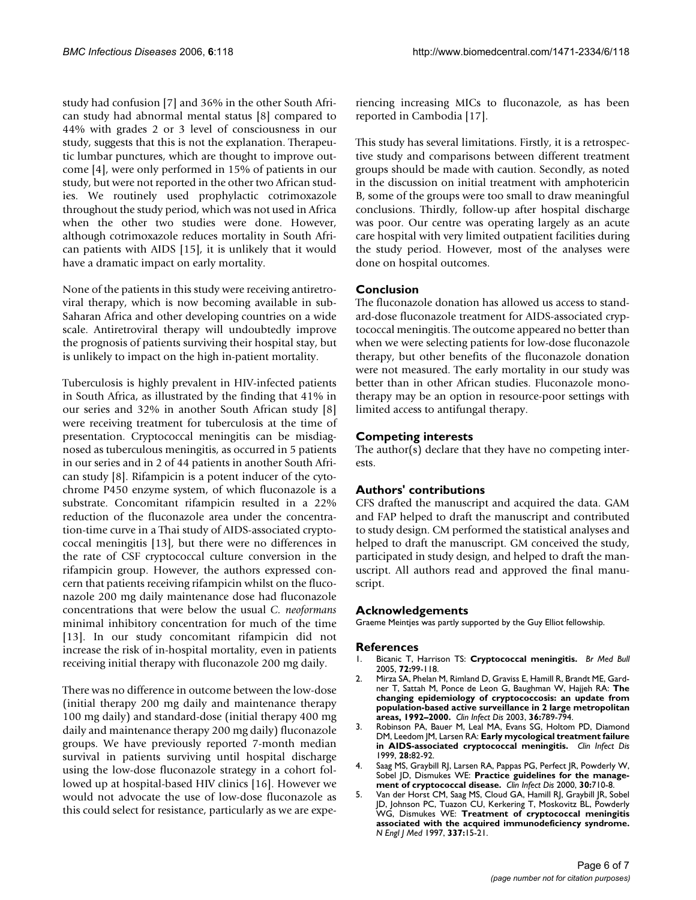study had confusion [7] and 36% in the other South African study had abnormal mental status [8] compared to 44% with grades 2 or 3 level of consciousness in our study, suggests that this is not the explanation. Therapeutic lumbar punctures, which are thought to improve outcome [4], were only performed in 15% of patients in our study, but were not reported in the other two African studies. We routinely used prophylactic cotrimoxazole throughout the study period, which was not used in Africa when the other two studies were done. However, although cotrimoxazole reduces mortality in South African patients with AIDS [15], it is unlikely that it would have a dramatic impact on early mortality.

None of the patients in this study were receiving antiretroviral therapy, which is now becoming available in sub-Saharan Africa and other developing countries on a wide scale. Antiretroviral therapy will undoubtedly improve the prognosis of patients surviving their hospital stay, but is unlikely to impact on the high in-patient mortality.

Tuberculosis is highly prevalent in HIV-infected patients in South Africa, as illustrated by the finding that 41% in our series and 32% in another South African study [8] were receiving treatment for tuberculosis at the time of presentation. Cryptococcal meningitis can be misdiagnosed as tuberculous meningitis, as occurred in 5 patients in our series and in 2 of 44 patients in another South African study [8]. Rifampicin is a potent inducer of the cytochrome P450 enzyme system, of which fluconazole is a substrate. Concomitant rifampicin resulted in a 22% reduction of the fluconazole area under the concentration-time curve in a Thai study of AIDS-associated cryptococcal meningitis [13], but there were no differences in the rate of CSF cryptococcal culture conversion in the rifampicin group. However, the authors expressed concern that patients receiving rifampicin whilst on the fluconazole 200 mg daily maintenance dose had fluconazole concentrations that were below the usual *C. neoformans* minimal inhibitory concentration for much of the time [13]. In our study concomitant rifampicin did not increase the risk of in-hospital mortality, even in patients receiving initial therapy with fluconazole 200 mg daily.

There was no difference in outcome between the low-dose (initial therapy 200 mg daily and maintenance therapy 100 mg daily) and standard-dose (initial therapy 400 mg daily and maintenance therapy 200 mg daily) fluconazole groups. We have previously reported 7-month median survival in patients surviving until hospital discharge using the low-dose fluconazole strategy in a cohort followed up at hospital-based HIV clinics [16]. However we would not advocate the use of low-dose fluconazole as this could select for resistance, particularly as we are experiencing increasing MICs to fluconazole, as has been reported in Cambodia [17].

This study has several limitations. Firstly, it is a retrospective study and comparisons between different treatment groups should be made with caution. Secondly, as noted in the discussion on initial treatment with amphotericin B, some of the groups were too small to draw meaningful conclusions. Thirdly, follow-up after hospital discharge was poor. Our centre was operating largely as an acute care hospital with very limited outpatient facilities during the study period. However, most of the analyses were done on hospital outcomes.

## **Conclusion**

The fluconazole donation has allowed us access to standard-dose fluconazole treatment for AIDS-associated cryptococcal meningitis. The outcome appeared no better than when we were selecting patients for low-dose fluconazole therapy, but other benefits of the fluconazole donation were not measured. The early mortality in our study was better than in other African studies. Fluconazole monotherapy may be an option in resource-poor settings with limited access to antifungal therapy.

## **Competing interests**

The author(s) declare that they have no competing interests.

### **Authors' contributions**

CFS drafted the manuscript and acquired the data. GAM and FAP helped to draft the manuscript and contributed to study design. CM performed the statistical analyses and helped to draft the manuscript. GM conceived the study, participated in study design, and helped to draft the manuscript. All authors read and approved the final manuscript.

### **Acknowledgements**

Graeme Meintjes was partly supported by the Guy Elliot fellowship.

#### **References**

- 1. Bicanic T, Harrison TS: **[Cryptococcal meningitis.](http://www.ncbi.nlm.nih.gov/entrez/query.fcgi?cmd=Retrieve&db=PubMed&dopt=Abstract&list_uids=15838017)** *Br Med Bull* 2005, **72:**99-118.
- 2. Mirza SA, Phelan M, Rimland D, Graviss E, Hamill R, Brandt ME, Gardner T, Sattah M, Ponce de Leon G, Baughman W, Hajjeh RA: **[The](http://www.ncbi.nlm.nih.gov/entrez/query.fcgi?cmd=Retrieve&db=PubMed&dopt=Abstract&list_uids=12627365) [changing epidemiology of cryptococcosis: an update from](http://www.ncbi.nlm.nih.gov/entrez/query.fcgi?cmd=Retrieve&db=PubMed&dopt=Abstract&list_uids=12627365) population-based active surveillance in 2 large metropolitan [areas, 1992–2000.](http://www.ncbi.nlm.nih.gov/entrez/query.fcgi?cmd=Retrieve&db=PubMed&dopt=Abstract&list_uids=12627365)** *Clin Infect Dis* 2003, **36:**789-794.
- 3. Robinson PA, Bauer M, Leal MA, Evans SG, Holtom PD, Diamond DM, Leedom JM, Larsen RA: **[Early mycological treatment failure](http://www.ncbi.nlm.nih.gov/entrez/query.fcgi?cmd=Retrieve&db=PubMed&dopt=Abstract&list_uids=10028076) [in AIDS-associated cryptococcal meningitis.](http://www.ncbi.nlm.nih.gov/entrez/query.fcgi?cmd=Retrieve&db=PubMed&dopt=Abstract&list_uids=10028076)** *Clin Infect Dis* 1999, **28:**82-92.
- 4. Saag MS, Graybill RJ, Larsen RA, Pappas PG, Perfect JR, Powderly W, Sobel JD, Dismukes WE: **[Practice guidelines for the manage](http://www.ncbi.nlm.nih.gov/entrez/query.fcgi?cmd=Retrieve&db=PubMed&dopt=Abstract&list_uids=10770733)[ment of cryptococcal disease.](http://www.ncbi.nlm.nih.gov/entrez/query.fcgi?cmd=Retrieve&db=PubMed&dopt=Abstract&list_uids=10770733)** *Clin Infect Dis* 2000, **30:**710-8.
- 5. Van der Horst CM, Saag MS, Cloud GA, Hamill RJ, Graybill JR, Sobel JD, Johnson PC, Tuazon CU, Kerkering T, Moskovitz BL, Powderly WG, Dismukes WE: **[Treatment of cryptococcal meningitis](http://www.ncbi.nlm.nih.gov/entrez/query.fcgi?cmd=Retrieve&db=PubMed&dopt=Abstract&list_uids=9203426) [associated with the acquired immunodeficiency syndrome.](http://www.ncbi.nlm.nih.gov/entrez/query.fcgi?cmd=Retrieve&db=PubMed&dopt=Abstract&list_uids=9203426)** *N Engl J Med* 1997, **337:**15-21.